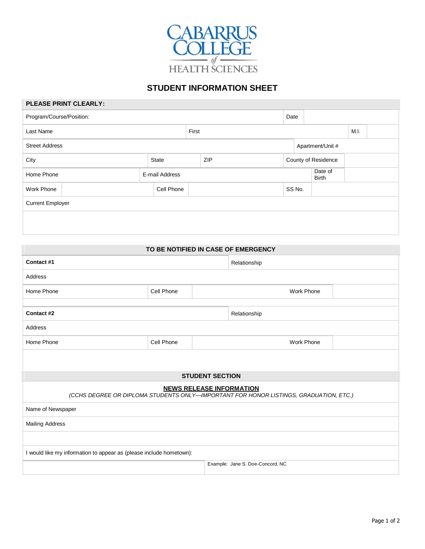

## **STUDENT INFORMATION SHEET**

#### **PLEASE PRINT CLEARLY:**

| Program/Course/Position: |  |                |       |     | Date   |  |                         |      |  |  |
|--------------------------|--|----------------|-------|-----|--------|--|-------------------------|------|--|--|
| Last Name                |  |                | First |     |        |  |                         | M.I. |  |  |
| <b>Street Address</b>    |  |                |       |     |        |  | Apartment/Unit #        |      |  |  |
| City                     |  | State          |       | ZIP |        |  | County of Residence     |      |  |  |
| Home Phone               |  | E-mail Address |       |     |        |  | Date of<br><b>Birth</b> |      |  |  |
| Work Phone               |  | Cell Phone     |       |     | SS No. |  |                         |      |  |  |
| <b>Current Employer</b>  |  |                |       |     |        |  |                         |      |  |  |
|                          |  |                |       |     |        |  |                         |      |  |  |
|                          |  |                |       |     |        |  |                         |      |  |  |

#### **TO BE NOTIFIED IN CASE OF EMERGENCY**

| Contact #1                                                                                                        |  |            | Relationship                     |  |  |  |  |
|-------------------------------------------------------------------------------------------------------------------|--|------------|----------------------------------|--|--|--|--|
| Address                                                                                                           |  |            |                                  |  |  |  |  |
| Cell Phone                                                                                                        |  | Work Phone |                                  |  |  |  |  |
|                                                                                                                   |  |            |                                  |  |  |  |  |
| Contact #2                                                                                                        |  |            | Relationship                     |  |  |  |  |
| Address                                                                                                           |  |            |                                  |  |  |  |  |
| Home Phone<br>Cell Phone<br><b>Work Phone</b>                                                                     |  |            |                                  |  |  |  |  |
|                                                                                                                   |  |            |                                  |  |  |  |  |
| <b>STUDENT SECTION</b>                                                                                            |  |            |                                  |  |  |  |  |
| NEWS RELEASE INFORMATION<br>(CCHS DEGREE OR DIPLOMA STUDENTS ONLY—IMPORTANT FOR HONOR LISTINGS, GRADUATION, ETC.) |  |            |                                  |  |  |  |  |
| Name of Newspaper                                                                                                 |  |            |                                  |  |  |  |  |
| <b>Mailing Address</b>                                                                                            |  |            |                                  |  |  |  |  |
|                                                                                                                   |  |            |                                  |  |  |  |  |
| I would like my information to appear as (please include hometown):                                               |  |            |                                  |  |  |  |  |
|                                                                                                                   |  |            |                                  |  |  |  |  |
|                                                                                                                   |  |            | Example: Jane S. Doe-Concord, NC |  |  |  |  |